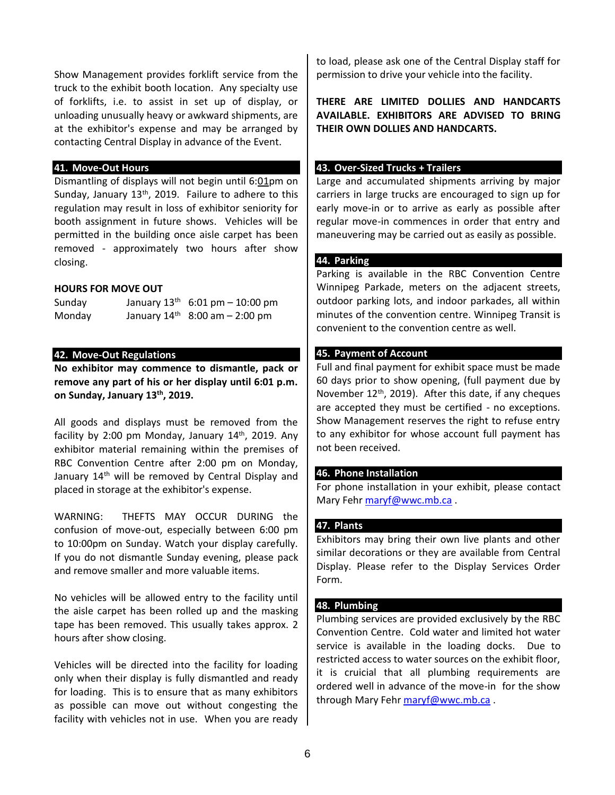Show Management provides forklift service from the truck to the exhibit booth location. Any specialty use of forklifts, i.e. to assist in set up of display, or unloading unusually heavy or awkward shipments, are at the exhibitor's expense and may be arranged by contacting Central Display in advance of the Event.

### **41. Move-Out Hours**

Dismantling of displays will not begin until 6:01pm on Sunday, January 1î <sup>th</sup> Failure to adhere to this regulation may result in loss of exhibitor seniority for booth assignment in future shows. Vehicles will be permitted in the building once aisle carpet has been removed - approximately two hours after show closing.

#### **HOURS FOR MOVE OUT**

| Sunday | January $1\hat{i}$ <sup>th</sup> 6:01 pm - 10:00 pm      |
|--------|----------------------------------------------------------|
| Monday | January 1 $\overline{i}$ <sup>th</sup> 8:00 am - 2:00 pm |

### **42. Move-Out Regulations**

**No exhibitor may commence to dismantle, pack or remove any part of his or her display until 6:01 p.m. on Sunday, January 12 th, 2020.**

All goods and displays must be removed from the facility by 2:00 pm Monday, January 13<sup>th</sup>, 2020. Any exhibitor material remaining within the premises of RBC Convention Centre after 2:00 pm on Monday, January 13<sup>th</sup> will be removed by Central Display and placed in storage at the exhibitor's expense.

WARNING: THEFTS MAY OCCUR DURING the confusion of move-out, especially between 6:00 pm to 10:00pm on Sunday. Watch your display carefully. If you do not dismantle Sunday evening, please pack and remove smaller and more valuable items.

No vehicles will be allowed entry to the facility until the aisle carpet has been rolled up and the masking tape has been removed. This usually takes approx. 2 hours after show closing.

Vehicles will be directed into the facility for loading only when their display is fully dismantled and ready for loading. This is to ensure that as many exhibitors as possible can move out without congesting the facility with vehicles not in use. When you are ready to load, please ask one of the Central Display staff for permission to drive your vehicle into the facility.

**THERE ARE LIMITED DOLLIES AND HANDCARTS AVAILABLE. EXHIBITORS ARE ADVISED TO BRING THEIR OWN DOLLIES AND HANDCARTS.**

#### **43. Over-Sized Trucks + Trailers**

Large and accumulated shipments arriving by major carriers in large trucks are encouraged to sign up for early move-in or to arrive as early as possible after regular move-in commences in order that entry and maneuvering may be carried out as easily as possible.

#### **44. Parking**

Parking is available in the RBC Convention Centre Winnipeg Parkade, meters on the adjacent streets, outdoor parking lots, and indoor parkades, all within minutes of the convention centre. Winnipeg Transit is convenient to the convention centre as well.

## **45. Payment of Account**

Full and final payment for exhibit space must be made 60 days prior to show opening, (full payment due by November 1ï<sup>th</sup>, 2019). After this date, if any cheques are accepted they must be certified - no exceptions. Show Management reserves the right to refuse entry to any exhibitor for whose account full payment has not been received.

#### **46. Phone Installation**

For phone installation in your exhibit, please contact Mary Fehr [maryf@wwc.mb.ca](mailto:maryf@wwc.mb.ca) .

#### **47. Plants**

Exhibitors may bring their own live plants and other similar decorations or they are available from Central Display. Please refer to the Display Services Order Form.

#### **48. Plumbing**

Plumbing services are provided exclusively by the RBC Convention Centre. Cold water and limited hot water service is available in the loading docks. Due to restricted access to water sources on the exhibit floor, it is cruicial that all plumbing requirements are ordered well in advance of the move-in for the show through Mary Fehr [maryf@wwc.mb.ca](mailto:maryf@wwc.mb.ca) .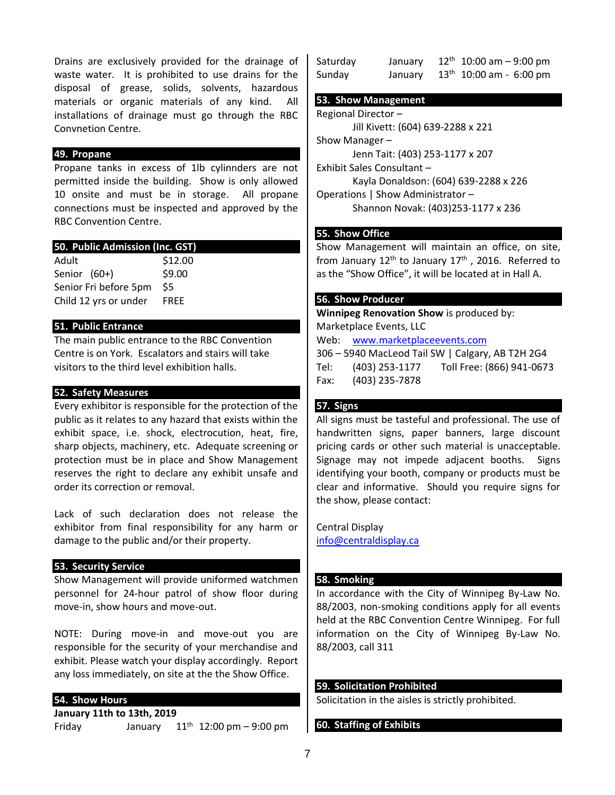Drains are exclusively provided for the drainage of waste water. It is prohibited to use drains for the disposal of grease, solids, solvents, hazardous materials or organic materials of any kind. All installations of drainage must go through the RBC Convnetion Centre.

## **49. Propane**

Propane tanks in excess of 1lb cylinnders are not permitted inside the building. Show is only allowed 10 onsite and must be in storage. All propane connections must be inspected and approved by the RBC Convention Centre.

| 50. Public Admission (Inc. GST) |  |  |  |
|---------------------------------|--|--|--|
| \$12.00                         |  |  |  |
| \$9.00                          |  |  |  |
| \$5                             |  |  |  |
| <b>FREE</b>                     |  |  |  |
|                                 |  |  |  |

## **51. Public Entrance**

The main public entrance to the RBC Convention Centre is on York. Escalators and stairs will take visitors to the third level exhibition halls.

## **52. Safety Measures**

Every exhibitor is responsible for the protection of the public as it relates to any hazard that exists within the exhibit space, i.e. shock, electrocution, heat, fire, sharp objects, machinery, etc. Adequate screening or protection must be in place and Show Management reserves the right to declare any exhibit unsafe and order its correction or removal.

Lack of such declaration does not release the exhibitor from final responsibility for any harm or damage to the public and/or their property.

# **53. Security Service**

Show Management will provide uniformed watchmen personnel for 24-hour patrol of show floor during move-in, show hours and move-out.

NOTE: During move-in and move-out you are responsible for the security of your merchandise and exhibit. Please watch your display accordingly. Report any loss immediately, on site at the the Show Office.

### **54. Show Hours**

**January 10th to 12th, 2020** Friday January  $10^{th}$  12:00 pm – 9:00 pm

| Saturday | January | $11th$ 10:00 am - 9:00 pm    |
|----------|---------|------------------------------|
| Sunday   | January | $12^{th}$ 10:00 am - 6:00 pm |

#### **53. Show Management**

Regional Director – Jill Kivett: (604) 639-2288 x 221 Show Manager – Jenn Tait: (403) 253-1177 x 207 Exhibit Sales Consultant – Kayla Donaldson: (604) 639-2288 x 226 Exhibit Sales Consultant – Crystal Zeemel: (403) 253-1177 x 211 Operations | Show Administrator – Shannon Novak: (403)253-1177 x 236

# **55. Show Office**

Show Management will maintain an office, on site, from January 7<sup>th</sup> to January 13<sup>th</sup>, 2020. Referred to as the "Show Office", it will be located at in Hall A.

## **56. Show Producer**

**Winnip[eg Renovation Show](file://///vanxpo/common/Home%20Shows%202008/VH+IDS/Exhibitor%20Kit/www.marketplaceevents.com)** is produced by: Marketplace Events, LLC Web: www.marketplaceevents.com 306 – 5940 MacLeod Tail SW | Calgary, AB T2H 2G4 Tel: (403) 253-1177 Toll Free: (866) 941-0673 Fax: (403) 235-7878

# **57. Signs**

All signs must be tasteful and professional. The use of handwritten signs, paper banners, large discount pricing cards or other such material is unacceptable. Signage may not impede adjacent booths. Signs identifying your booth, company or products must be clear and informative. Should you require signs for the show, please contact:

### [Central Display](mailto:info@centraldisplay.ca)

info@centraldisplay.ca

### **58. Smoking**

In accordance with the City of Winnipeg By-Law No. 88/2003, non-smoking conditions apply for all events held at the RBC Convention Centre Winnipeg. For full information on the City of Winnipeg By-Law No. 88/2003, call 311

# **59. Solicitation Prohibited**

Solicitation in the aisles is strictly prohibited.

# **60. Staffing of Exhibits**